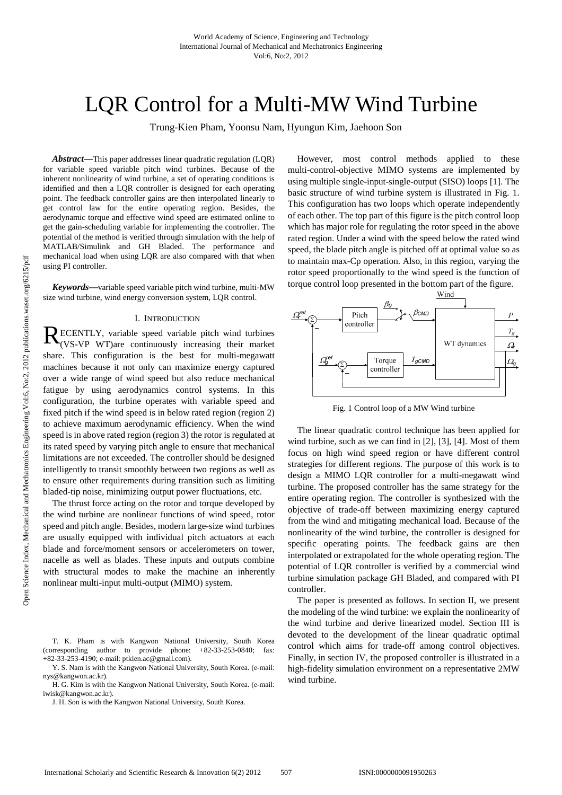# LQR Control for a Multi-MW Wind Turbine

Trung-Kien Pham, Yoonsu Nam, Hyungun Kim, Jaehoon Son

*Abstract***—**This paper addresses linear quadratic regulation (LQR) for variable speed variable pitch wind turbines. Because of the inherent nonlinearity of wind turbine, a set of operating conditions is identified and then a LQR controller is designed for each operating point. The feedback controller gains are then interpolated linearly to get control law for the entire operating region. Besides, the aerodynamic torque and effective wind speed are estimated online to get the gain-scheduling variable for implementing the controller. The potential of the method is verified through simulation with the help of MATLAB/Simulink and GH Bladed. The performance and mechanical load when using LQR are also compared with that when using PI controller.

*Keywords***—**variable speed variable pitch wind turbine, multi-MW size wind turbine, wind energy conversion system, LQR control.

#### I. INTRODUCTION

RECENTLY, variable speed variable pitch wind turbines<br>(VS-VP WT)are continuously increasing their market (VS-VP WT)are continuously increasing their market share. This configuration is the best for multi-megawatt machines because it not only can maximize energy captured over a wide range of wind speed but also reduce mechanical fatigue by using aerodynamics control systems. In this configuration, the turbine operates with variable speed and fixed pitch if the wind speed is in below rated region (region 2) to achieve maximum aerodynamic efficiency. When the wind speed is in above rated region (region 3) the rotor is regulated at its rated speed by varying pitch angle to ensure that mechanical limitations are not exceeded. The controller should be designed intelligently to transit smoothly between two regions as well as to ensure other requirements during transition such as limiting bladed-tip noise, minimizing output power fluctuations, etc.

The thrust force acting on the rotor and torque developed by the wind turbine are nonlinear functions of wind speed, rotor speed and pitch angle. Besides, modern large-size wind turbines are usually equipped with individual pitch actuators at each blade and force/moment sensors or accelerometers on tower, nacelle as well as blades. These inputs and outputs combine with structural modes to make the machine an inherently nonlinear multi-input multi-output (MIMO) system.

Y. S. Nam is with the Kangwon National University, South Korea. (e-mail: nys@kangwon.ac.kr).

However, most control methods applied to these multi-control-objective MIMO systems are implemented by using multiple single-input-single-output (SISO) loops [1]. The basic structure of wind turbine system is illustrated in Fig. 1. This configuration has two loops which operate independently of each other. The top part of this figure is the pitch control loop which has major role for regulating the rotor speed in the above rated region. Under a wind with the speed below the rated wind speed, the blade pitch angle is pitched off at optimal value so as to maintain max-Cp operation. Also, in this region, varying the rotor speed proportionally to the wind speed is the function of torque control loop presented in the bottom part of the figure.



Fig. 1 Control loop of a MW Wind turbine

The linear quadratic control technique has been applied for wind turbine, such as we can find in [2], [3], [4]. Most of them focus on high wind speed region or have different control strategies for different regions. The purpose of this work is to design a MIMO LQR controller for a multi-megawatt wind turbine. The proposed controller has the same strategy for the entire operating region. The controller is synthesized with the objective of trade-off between maximizing energy captured from the wind and mitigating mechanical load. Because of the nonlinearity of the wind turbine, the controller is designed for specific operating points. The feedback gains are then interpolated or extrapolated for the whole operating region. The potential of LQR controller is verified by a commercial wind turbine simulation package GH Bladed, and compared with PI controller.

The paper is presented as follows. In section II, we present the modeling of the wind turbine: we explain the nonlinearity of the wind turbine and derive linearized model. Section III is devoted to the development of the linear quadratic optimal control which aims for trade-off among control objectives. Finally, in section IV, the proposed controller is illustrated in a high-fidelity simulation environment on a representative 2MW wind turbine.

T. K. Pham is with Kangwon National University, South Korea (corresponding author to provide phone: +82-33-253-0840; fax: +82-33-253-4190; e-mail: ptkien.ac@gmail.com).

H. G. Kim is with the Kangwon National University, South Korea. (e-mail: iwisk@kangwon.ac.kr).

J. H. Son is with the Kangwon National University, South Korea.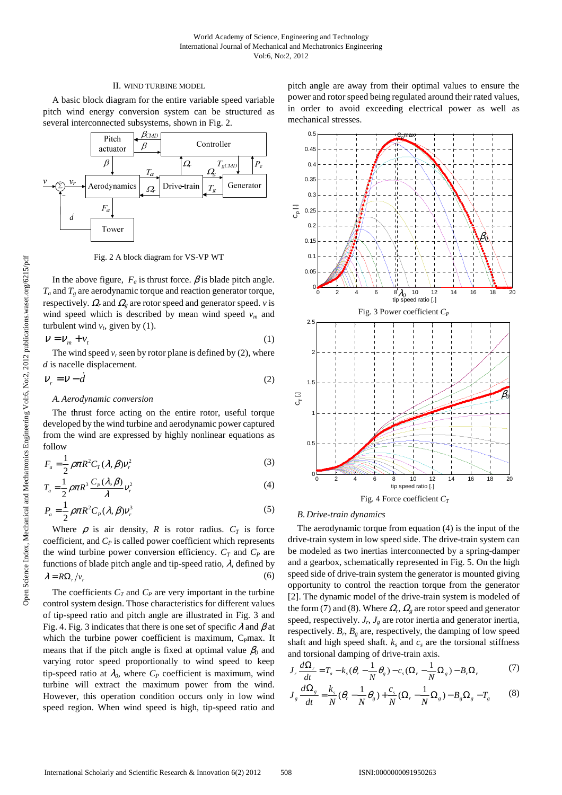## II. WIND TURBINE MODEL

A basic block diagram for the entire variable speed variable pitch wind energy conversion system can be structured as several interconnected subsystems, shown in Fig. 2.



Fig. 2 A block diagram for VS-VP WT

In the above figure,  $F_a$  is thrust force.  $\beta$  is blade pitch angle.  $T_a$  and  $T_g$  are aerodynamic torque and reaction generator torque, respectively.  $\Omega_r$  and  $\Omega_g$  are rotor speed and generator speed. *v* is wind speed which is described by mean wind speed *vm* and turbulent wind  $v_t$ , given by (1).

$$
V = V_m + v_t \tag{1}
$$

The wind speed  $v_r$  seen by rotor plane is defined by (2), where *d* is nacelle displacement.

$$
V_r = V - \dot{d} \tag{2}
$$

# *A.Aerodynamic conversion*

The thrust force acting on the entire rotor, useful torque developed by the wind turbine and aerodynamic power captured from the wind are expressed by highly nonlinear equations as follow

$$
F_a = \frac{1}{2} \rho \pi R^2 C_T(\lambda, \beta) v_r^2
$$
 (3)

$$
T_a = \frac{1}{2} \rho \pi R^3 \frac{C_p(\lambda, \beta)}{\lambda} v_r^2
$$
 (4)

$$
P_a = \frac{1}{2} \rho \pi R^2 C_p (\lambda, \beta) v_r^3
$$
 (5)

Where  $\rho$  is air density, *R* is rotor radius.  $C_T$  is force coefficient, and *CP* is called power coefficient which represents the wind turbine power conversion efficiency.  $C_T$  and  $C_P$  are functions of blade pitch angle and tip-speed ratio,  $\lambda$ , defined by  $\lambda = R\Omega_r/v_r$ (6)

The coefficients  $C_T$  and  $C_P$  are very important in the turbine control system design. Those characteristics for different values of tip-speed ratio and pitch angle are illustrated in Fig. 3 and Fig. 4. Fig. 3 indicates that there is one set of specific  $\lambda$  and  $\beta$  at which the turbine power coefficient is maximum,  $C_{\rm P}$ max. It means that if the pitch angle is fixed at optimal value  $\beta_0$  and varying rotor speed proportionally to wind speed to keep tip-speed ratio at  $\lambda_0$ , where  $C_P$  coefficient is maximum, wind turbine will extract the maximum power from the wind. However, this operation condition occurs only in low wind speed region. When wind speed is high, tip-speed ratio and

pitch angle are away from their optimal values to ensure the power and rotor speed being regulated around their rated values, in order to avoid exceeding electrical power as well as mechanical stresses.



#### *B.Drive-train dynamics*

The aerodynamic torque from equation (4) is the input of the drive-train system in low speed side. The drive-train system can be modeled as two inertias interconnected by a spring-damper and a gearbox, schematically represented in Fig. 5. On the high speed side of drive-train system the generator is mounted giving opportunity to control the reaction torque from the generator [2]. The dynamic model of the drive-train system is modeled of the form (7) and (8). Where  $\Omega_r$ ,  $\Omega_g$  are rotor speed and generator speed, respectively.  $J_r$ ,  $J_g$  are rotor inertia and generator inertia, respectively.  $B_r$ ,  $B_g$  are, respectively, the damping of low speed shaft and high speed shaft.  $k_s$  and  $c_s$  are the torsional stiffness and torsional damping of drive-train axis.

$$
J_r \frac{d\Omega_r}{dt} = T_a - k_s(\theta_r - \frac{1}{N}\theta_g) - c_s(\Omega_r - \frac{1}{N}\Omega_g) - B_r\Omega_r
$$
 (7)

$$
J_g \frac{d\Omega_g}{dt} = \frac{k_s}{N} (\theta_r - \frac{1}{N} \theta_g) + \frac{c_s}{N} (\Omega_r - \frac{1}{N} \Omega_g) - B_g \Omega_g - T_g \tag{8}
$$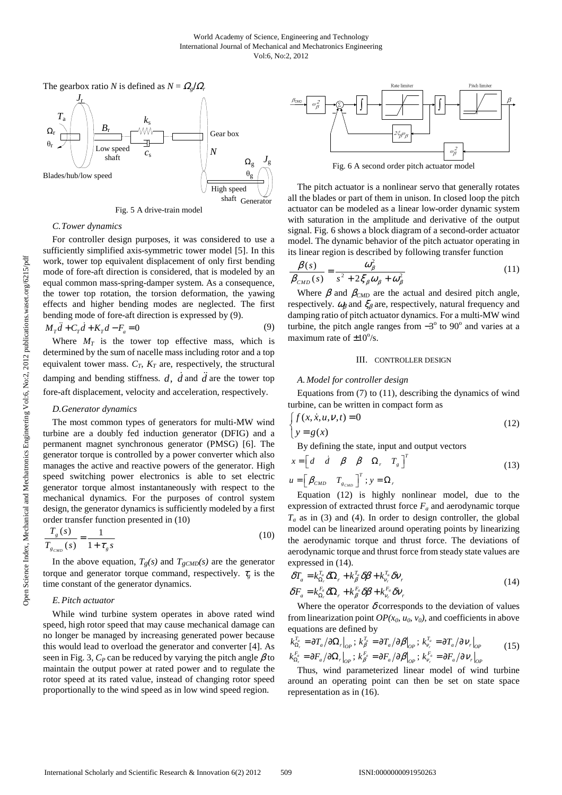

Fig. 5 A drive-train model

## *C.Tower dynamics*

For controller design purposes, it was considered to use a sufficiently simplified axis-symmetric tower model [5]. In this work, tower top equivalent displacement of only first bending mode of fore-aft direction is considered, that is modeled by an equal common mass-spring-damper system. As a consequence, the tower top rotation, the torsion deformation, the yawing effects and higher bending modes are neglected. The first bending mode of fore-aft direction is expressed by (9).

$$
M_T \ddot{d} + C_T \dot{d} + K_T d - F_a = 0 \tag{9}
$$

Where  $M_T$  is the tower top effective mass, which is determined by the sum of nacelle mass including rotor and a top equivalent tower mass.  $C_T$ ,  $K_T$  are, respectively, the structural damping and bending stiffness.  $d$ ,  $\vec{d}$  and  $\vec{d}$  are the tower top fore-aft displacement, velocity and acceleration, respectively.

# *D.Generator dynamics*

The most common types of generators for multi-MW wind turbine are a doubly fed induction generator (DFIG) and a permanent magnet synchronous generator (PMSG) [6]. The generator torque is controlled by a power converter which also manages the active and reactive powers of the generator. High speed switching power electronics is able to set electric generator torque almost instantaneously with respect to the mechanical dynamics. For the purposes of control system design, the generator dynamics is sufficiently modeled by a first order transfer function presented in (10)

$$
\frac{T_g(s)}{T_{g_{\text{CMD}}}(s)} = \frac{1}{1 + \tau_g s} \tag{10}
$$

In the above equation,  $T_g(s)$  and  $T_{gCMD}(s)$  are the generator torque and generator torque command, respectively.  $\tau_{\varphi}$  is the time constant of the generator dynamics.

# *E.Pitch actuator*

While wind turbine system operates in above rated wind speed, high rotor speed that may cause mechanical damage can no longer be managed by increasing generated power because this would lead to overload the generator and converter [4]. As seen in Fig. 3,  $C_p$  can be reduced by varying the pitch angle  $\beta$  to maintain the output power at rated power and to regulate the rotor speed at its rated value, instead of changing rotor speed proportionally to the wind speed as in low wind speed region.



Fig. 6 A second order pitch actuator model

The pitch actuator is a nonlinear servo that generally rotates all the blades or part of them in unison. In closed loop the pitch actuator can be modeled as a linear low-order dynamic system with saturation in the amplitude and derivative of the output signal. Fig. 6 shows a block diagram of a second-order actuator model. The dynamic behavior of the pitch actuator operating in its linear region is described by following transfer function

$$
\frac{\beta(s)}{\beta_{\text{CMD}}(s)} = \frac{\omega_{\beta}^2}{s^2 + 2\xi_{\beta}\omega_{\beta} + \omega_{\beta}^2}
$$
(11)

Where  $\beta$  and  $\beta_{\text{CMD}}$  are the actual and desired pitch angle, respectively.  $\omega_\beta$  and  $\xi_\beta$  are, respectively, natural frequency and damping ratio of pitch actuator dynamics. For a multi-MW wind turbine, the pitch angle ranges from  $-3^\circ$  to 90 $^\circ$  and varies at a maximum rate of  $\pm 10^{\circ}/s$ .

#### III. CONTROLLER DESIGN

# *A.Model for controller design*

Equations from (7) to (11), describing the dynamics of wind turbine, can be written in compact form as

$$
\begin{cases} f(x, \dot{x}, u, v, t) = 0 \\ y = g(x) \end{cases}
$$
 (12)

By defining the state, input and output vectors

$$
x = \begin{bmatrix} d & \dot{d} & \beta & \dot{\beta} & \Omega_r & T_s \end{bmatrix}^T
$$
 (13)

 $_{\textit{CMD}}$  ; *T*  $\boldsymbol{\mu} = \left[ \begin{array}{cc} \boldsymbol{\beta}_{\text{CMD}} & T_{\text{g}_{\text{CMD}}} \end{array} \right]^{\prime}$ ;  $\boldsymbol{y} = \boldsymbol{\Omega}_r$ 

Equation (12) is highly nonlinear model, due to the expression of extracted thrust force  $F_a$  and aerodynamic torque  $T_a$  as in (3) and (4). In order to design controller, the global model can be linearized around operating points by linearizing the aerodynamic torque and thrust force. The deviations of aerodynamic torque and thrust force from steady state values are expressed in (14).

$$
\delta T_a = k_{\Omega_r}^{T_a} \delta \Omega_r + k_{\beta}^{T_a} \delta \beta + k_{\nu_r}^{T_a} \delta \nu_r
$$
  
\n
$$
\delta F_a = k_{\Omega_r}^{F_a} \delta \Omega_r + k_{\beta}^{F_a} \delta \beta + k_{\nu_r}^{F_a} \delta \nu_r
$$
\n(14)

Where the operator  $\delta$  corresponds to the deviation of values from linearization point  $OP(x_0, u_0, v_0)$ , and coefficients in above equations are defined by

$$
k_{\Omega_r}^{T_a} = \partial T_a / \partial \Omega_r \big|_{OP} ; k_{\beta}^{T_a} = \partial T_a / \partial \beta \big|_{OP} ; k_{\nu_r}^{T_a} = \partial T_a / \partial \nu_r \big|_{OP}
$$
  
\n
$$
k_{\Omega_r}^{F_a} = \partial F_a / \partial \Omega_r \big|_{OP} ; k_{\beta}^{F_a} = \partial F_a / \partial \beta \big|_{OP} ; k_{\nu_r}^{F_a} = \partial F_a / \partial \nu_r \big|_{OP}
$$
\n(15)

Thus, wind parameterized linear model of wind turbine around an operating point can then be set on state space representation as in (16).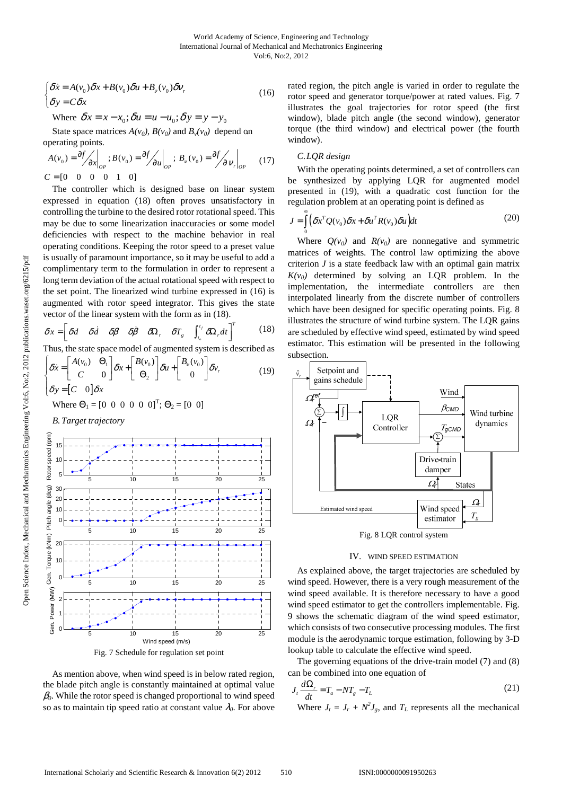$$
\begin{cases}\n\delta \dot{x} = A(v_0)\delta x + B(v_0)\delta u + B_v(v_0)\delta v, \\
\delta y = C\delta x\n\end{cases}
$$
\n(16)

Where 
$$
\delta x = x - x_0
$$
;  $\delta u = u - u_0$ ;  $\delta y = y - y_0$ 

State space matrices  $A(v_0)$ ,  $B(v_0)$  and  $B_v(v_0)$  depend on operating points.

$$
A(v_0) = \frac{\partial f}{\partial x}\Big|_{op}; B(v_0) = \frac{\partial f}{\partial u}\Big|_{op}; B_v(v_0) = \frac{\partial f}{\partial v}\Big|_{op}
$$
 (17)  

$$
C = \begin{bmatrix} 0 & 0 & 0 & 1 & 0 \end{bmatrix}
$$

The controller which is designed base on linear system expressed in equation (18) often proves unsatisfactory in controlling the turbine to the desired rotor rotational speed. This may be due to some linearization inaccuracies or some model deficiencies with respect to the machine behavior in real operating conditions. Keeping the rotor speed to a preset value is usually of paramount importance, so it may be useful to add a complimentary term to the formulation in order to represent a long term deviation of the actual rotational speed with respect to the set point. The linearized wind turbine expressed in (16) is augmented with rotor speed integrator. This gives the state vector of the linear system with the form as in (18).

$$
\delta x = \begin{bmatrix} \delta d & \delta \dot{d} & \delta \beta & \delta \dot{\beta} & \delta \Omega_r & \delta T_s & \int_{t_o}^{t_f} \delta \Omega_r dt \end{bmatrix}^T \tag{18}
$$

Thus, the state space model of augmented system is described as

$$
\begin{cases}\n\delta \dot{x} = \begin{bmatrix} A(v_0) & \Theta_1 \\ C & 0 \end{bmatrix} \delta x + \begin{bmatrix} B(v_0) \\ \Theta_2 \end{bmatrix} \delta u + \begin{bmatrix} B_v(v_0) \\ 0 \end{bmatrix} \delta v_r \\
\delta y = \begin{bmatrix} C & 0 \end{bmatrix} \delta x\n\end{cases}
$$
\n(19)

Where  $\Theta_1 = [0 \ 0 \ 0 \ 0 \ 0 \ 0]^T$ ;  $\Theta_2 = [0 \ 0]$ 

*B.Target trajectory* 

(pm) Rotor speed (rpm) 15 Rotor speed  $10$ 5 5 10 15 20 25  $(\text{deg})$ Pitch angle (deg) 30  $\overline{2}$ angle (  $10$ Pitch 0 5 10 15 20 25 (kNm) Gen. Torque (kNm)  $\overline{2}$ Torque 10 .<br>Gen. 0 5 10 15 20 25 **Gen. Power (MW)** Gen. Power (MW) 2 1 0 5 10 15 20 25 Wind speed (m/s)

Fig. 7 Schedule for regulation set point

As mention above, when wind speed is in below rated region, the blade pitch angle is constantly maintained at optimal value  $\beta$ <sup>0</sup>. While the rotor speed is changed proportional to wind speed so as to maintain tip speed ratio at constant value  $\lambda_0$ . For above

rated region, the pitch angle is varied in order to regulate the rotor speed and generator torque/power at rated values. Fig. 7 illustrates the goal trajectories for rotor speed (the first window), blade pitch angle (the second window), generator torque (the third window) and electrical power (the fourth window).

# *C.LQR design*

With the operating points determined, a set of controllers can be synthesized by applying LQR for augmented model presented in (19), with a quadratic cost function for the regulation problem at an operating point is defined as

$$
J = \int_{0}^{\infty} \left( \delta x^{T} Q(v_{0}) \delta x + \delta u^{T} R(v_{0}) \delta u \right) dt
$$
 (20)

Where  $Q(v_0)$  and  $R(v_0)$  are nonnegative and symmetric matrices of weights. The control law optimizing the above criterion *J* is a state feedback law with an optimal gain matrix  $K(v_0)$  determined by solving an LQR problem. In the implementation, the intermediate controllers are then interpolated linearly from the discrete number of controllers which have been designed for specific operating points. Fig. 8 illustrates the structure of wind turbine system. The LQR gains are scheduled by effective wind speed, estimated by wind speed estimator. This estimation will be presented in the following subsection.





As explained above, the target trajectories are scheduled by wind speed. However, there is a very rough measurement of the wind speed available. It is therefore necessary to have a good wind speed estimator to get the controllers implementable. Fig. 9 shows the schematic diagram of the wind speed estimator, which consists of two consecutive processing modules. The first module is the aerodynamic torque estimation, following by 3-D lookup table to calculate the effective wind speed.

The governing equations of the drive-train model (7) and (8) can be combined into one equation of

$$
J_t \frac{d\Omega_r}{dt} = T_a - NT_g - T_L \tag{21}
$$

Where  $J_t = J_r + N^2 J_g$ , and  $T_L$  represents all the mechanical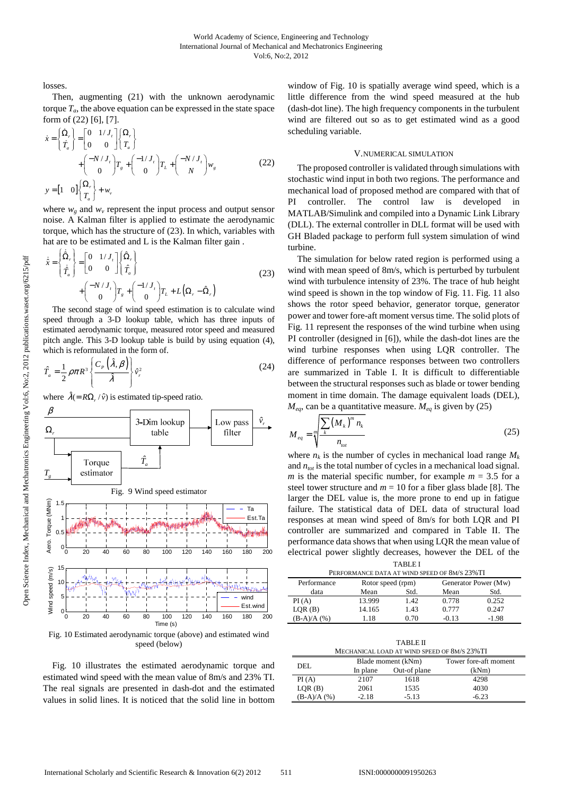losses.

Then, augmenting (21) with the unknown aerodynamic torque  $T_a$ , the above equation can be expressed in the state space form of (22) [6], [7].

$$
\dot{x} = \begin{cases} \dot{\Omega}_r \\ \dot{T}_a \end{cases} = \begin{bmatrix} 0 & 1/J_r \\ 0 & 0 \end{bmatrix} \begin{cases} \Omega_r \\ T_a \end{cases} + \begin{pmatrix} -N/J_r \\ 0 \end{pmatrix} T_s + \begin{pmatrix} -1/J_r \\ 0 \end{pmatrix} T_L + \begin{pmatrix} -N/J_r \\ N \end{pmatrix} w_s
$$
\n
$$
y = \begin{bmatrix} 1 & 0 \end{bmatrix} \begin{cases} \Omega_r \\ T_a \end{bmatrix} + w_v
$$
\n(22)

where  $w_g$  and  $w_v$  represent the input process and output sensor noise. A Kalman filter is applied to estimate the aerodynamic torque, which has the structure of (23). In which, variables with hat are to be estimated and L is the Kalman filter gain.

$$
\dot{\hat{x}} = \begin{cases}\n\dot{\hat{\Omega}}_r \\
\dot{\hat{T}}_a\n\end{cases} = \begin{bmatrix}\n0 & 1/J_r \\
0 & 0\n\end{bmatrix} \begin{bmatrix}\n\hat{\Omega}_r \\
\hat{T}_a\n\end{bmatrix} + \begin{pmatrix}\n-N/J_r \\
0\n\end{pmatrix} T_s + \begin{pmatrix}\n-1/J_r \\
0\n\end{pmatrix} T_L + L(\Omega_r - \hat{\Omega}_r)
$$
\n(23)

The second stage of wind speed estimation is to calculate wind speed through a 3-D lookup table, which has three inputs of estimated aerodynamic torque, measured rotor speed and measured pitch angle. This 3-D lookup table is build by using equation (4), which is reformulated in the form of.

$$
\hat{T}_a = \frac{1}{2} \rho \pi R^3 \left\{ \frac{C_P(\hat{\lambda}, \beta)}{\hat{\lambda}} \right\} \hat{v}_r^2 \tag{24}
$$

where  $\hat{\lambda} (= R\Omega_r / \hat{v})$  is estimated tip-speed ratio.



speed (below)

Fig. 10 illustrates the estimated aerodynamic torque and estimated wind speed with the mean value of 8m/s and 23% TI. The real signals are presented in dash-dot and the estimated values in solid lines. It is noticed that the solid line in bottom

window of Fig. 10 is spatially average wind speed, which is a little difference from the wind speed measured at the hub (dash-dot line). The high frequency components in the turbulent wind are filtered out so as to get estimated wind as a good scheduling variable.

#### V.NUMERICAL SIMULATION

The proposed controller is validated through simulations with stochastic wind input in both two regions. The performance and mechanical load of proposed method are compared with that of PI controller. The control law is developed in MATLAB/Simulink and compiled into a Dynamic Link Library (DLL). The external controller in DLL format will be used with GH Bladed package to perform full system simulation of wind turbine.

The simulation for below rated region is performed using a wind with mean speed of 8m/s, which is perturbed by turbulent wind with turbulence intensity of 23%. The trace of hub height wind speed is shown in the top window of Fig. 11. Fig. 11 also shows the rotor speed behavior, generator torque, generator power and tower fore-aft moment versus time. The solid plots of Fig. 11 represent the responses of the wind turbine when using PI controller (designed in [6]), while the dash-dot lines are the wind turbine responses when using LQR controller. The difference of performance responses between two controllers are summarized in Table I. It is difficult to differentiable between the structural responses such as blade or tower bending moment in time domain. The damage equivalent loads (DEL),  $M_{ea}$ , can be a quantitative measure.  $M_{ea}$  is given by (25)

$$
M_{eq} = \sqrt[m]{\frac{\sum_{k} (M_{k})^{m} n_{k}}{n_{tot}}}
$$
 (25)

where  $n_k$  is the number of cycles in mechanical load range  $M_k$ and  $n_{tot}$  is the total number of cycles in a mechanical load signal. *m* is the material specific number, for example  $m = 3.5$  for a steel tower structure and  $m = 10$  for a fiber glass blade [8]. The larger the DEL value is, the more prone to end up in fatigue failure. The statistical data of DEL data of structural load responses at mean wind speed of 8m/s for both LQR and PI controller are summarized and compared in Table II. The performance data shows that when using LQR the mean value of electrical power slightly decreases, however the DEL of the TABLE I

| TABLE I                                       |                   |      |                      |         |  |  |  |
|-----------------------------------------------|-------------------|------|----------------------|---------|--|--|--|
| PERFORMANCE DATA AT WIND SPEED OF 8M/S 23% TI |                   |      |                      |         |  |  |  |
| Performance                                   | Rotor speed (rpm) |      | Generator Power (Mw) |         |  |  |  |
| data                                          | Mean              | Std. | Mean                 | Std.    |  |  |  |
| PI(A)                                         | 13.999            | 1.42 | 0.778                | 0.252   |  |  |  |
| LQR(B)                                        | 14.165            | 1.43 | 0.777                | 0.247   |  |  |  |
| $(B-A)/A$ (%)                                 | 1.18              | 0.70 | $-0.13$              | $-1.98$ |  |  |  |
|                                               |                   |      |                      |         |  |  |  |

| <b>TABLE II</b>                              |          |                    |                       |  |  |  |
|----------------------------------------------|----------|--------------------|-----------------------|--|--|--|
| MECHANICAL LOAD AT WIND SPEED OF 8M/S 23% TI |          |                    |                       |  |  |  |
| DEL.                                         |          | Blade moment (kNm) | Tower fore-aft moment |  |  |  |
|                                              | In plane | Out-of plane       | (kNm)                 |  |  |  |
| PI(A)                                        | 2107     | 1618               | 4298                  |  |  |  |
| LQR(B)                                       | 2061     | 1535               | 4030                  |  |  |  |
| $(B-A)/A$ (%)                                | $-2.18$  | $-5.13$            | $-6.23$               |  |  |  |